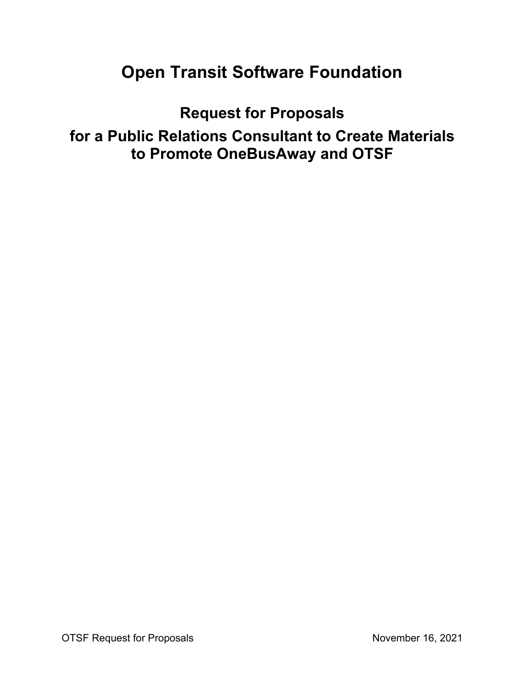# **Open Transit Software Foundation**

**Request for Proposals**

**for a Public Relations Consultant to Create Materials to Promote OneBusAway and OTSF**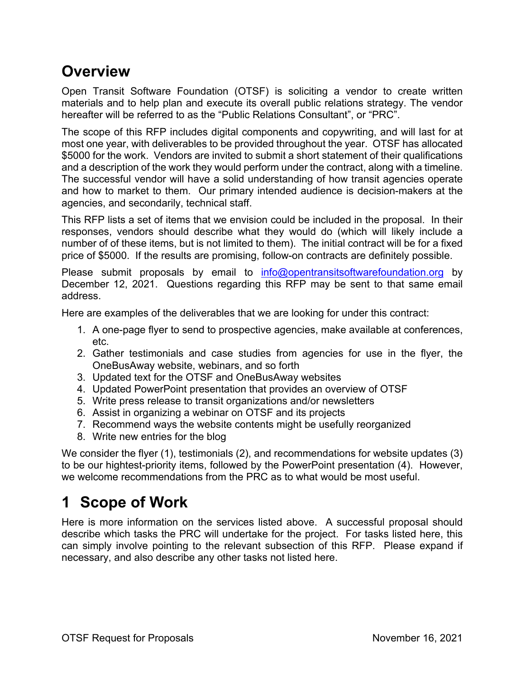## **Overview**

Open Transit Software Foundation (OTSF) is soliciting a vendor to create written materials and to help plan and execute its overall public relations strategy. The vendor hereafter will be referred to as the "Public Relations Consultant", or "PRC".

The scope of this RFP includes digital components and copywriting, and will last for at most one year, with deliverables to be provided throughout the year. OTSF has allocated \$5000 for the work. Vendors are invited to submit a short statement of their qualifications and a description of the work they would perform under the contract, along with a timeline. The successful vendor will have a solid understanding of how transit agencies operate and how to market to them. Our primary intended audience is decision-makers at the agencies, and secondarily, technical staff.

This RFP lists a set of items that we envision could be included in the proposal. In their responses, vendors should describe what they would do (which will likely include a number of of these items, but is not limited to them). The initial contract will be for a fixed price of \$5000. If the results are promising, follow-on contracts are definitely possible.

Please submit proposals by email to info@opentransitsoftwarefoundation.org by December 12, 2021. Questions regarding this RFP may be sent to that same email address.

Here are examples of the deliverables that we are looking for under this contract:

- 1. A one-page flyer to send to prospective agencies, make available at conferences, etc.
- 2. Gather testimonials and case studies from agencies for use in the flyer, the OneBusAway website, webinars, and so forth
- 3. Updated text for the OTSF and OneBusAway websites
- 4. Updated PowerPoint presentation that provides an overview of OTSF
- 5. Write press release to transit organizations and/or newsletters
- 6. Assist in organizing a webinar on OTSF and its projects
- 7. Recommend ways the website contents might be usefully reorganized
- 8. Write new entries for the blog

We consider the flyer (1), testimonials (2), and recommendations for website updates (3) to be our hightest-priority items, followed by the PowerPoint presentation (4). However, we welcome recommendations from the PRC as to what would be most useful.

# **1 Scope of Work**

Here is more information on the services listed above. A successful proposal should describe which tasks the PRC will undertake for the project. For tasks listed here, this can simply involve pointing to the relevant subsection of this RFP. Please expand if necessary, and also describe any other tasks not listed here.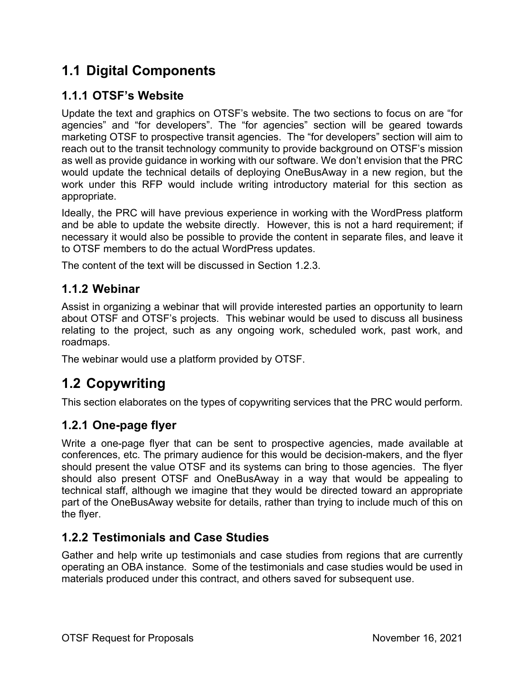### **1.1 Digital Components**

### **1.1.1 OTSF's Website**

Update the text and graphics on OTSF's website. The two sections to focus on are "for agencies" and "for developers". The "for agencies" section will be geared towards marketing OTSF to prospective transit agencies. The "for developers" section will aim to reach out to the transit technology community to provide background on OTSF's mission as well as provide guidance in working with our software. We don't envision that the PRC would update the technical details of deploying OneBusAway in a new region, but the work under this RFP would include writing introductory material for this section as appropriate.

Ideally, the PRC will have previous experience in working with the WordPress platform and be able to update the website directly. However, this is not a hard requirement; if necessary it would also be possible to provide the content in separate files, and leave it to OTSF members to do the actual WordPress updates.

The content of the text will be discussed in Section 1.2.3.

#### **1.1.2 Webinar**

Assist in organizing a webinar that will provide interested parties an opportunity to learn about OTSF and OTSF's projects. This webinar would be used to discuss all business relating to the project, such as any ongoing work, scheduled work, past work, and roadmaps.

The webinar would use a platform provided by OTSF.

### **1.2 Copywriting**

This section elaborates on the types of copywriting services that the PRC would perform.

#### **1.2.1 One-page flyer**

Write a one-page flyer that can be sent to prospective agencies, made available at conferences, etc. The primary audience for this would be decision-makers, and the flyer should present the value OTSF and its systems can bring to those agencies. The flyer should also present OTSF and OneBusAway in a way that would be appealing to technical staff, although we imagine that they would be directed toward an appropriate part of the OneBusAway website for details, rather than trying to include much of this on the flyer.

#### **1.2.2 Testimonials and Case Studies**

Gather and help write up testimonials and case studies from regions that are currently operating an OBA instance. Some of the testimonials and case studies would be used in materials produced under this contract, and others saved for subsequent use.